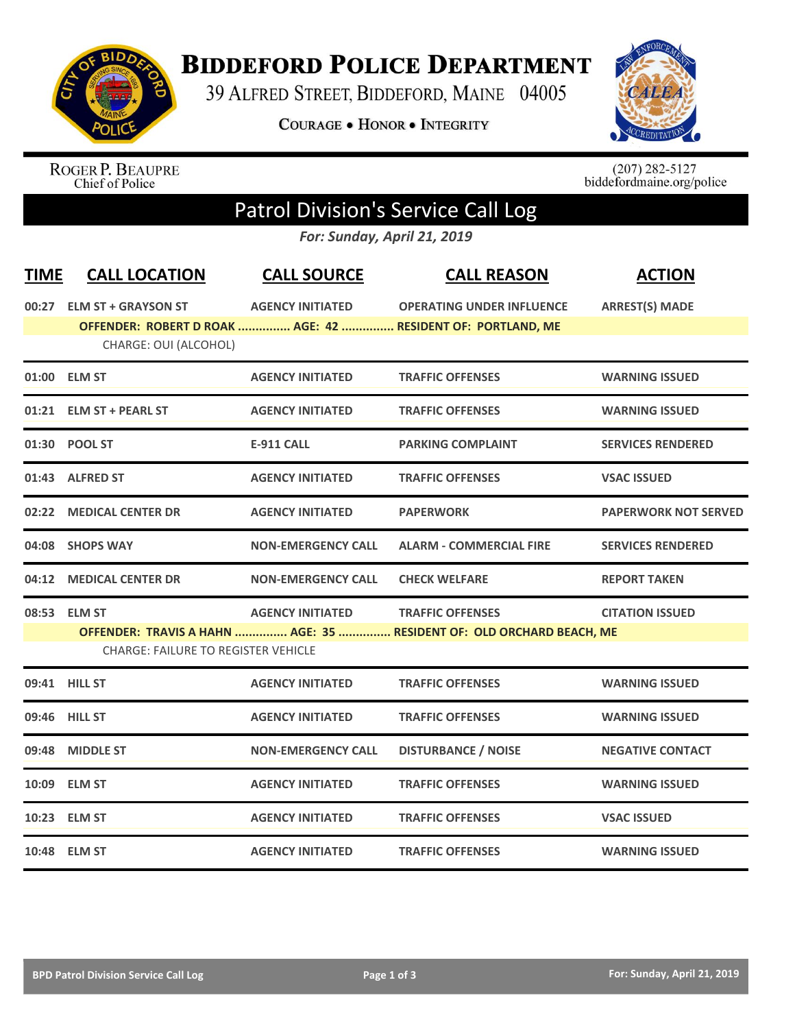

## **BIDDEFORD POLICE DEPARTMENT**

39 ALFRED STREET, BIDDEFORD, MAINE 04005

**COURAGE . HONOR . INTEGRITY** 



ROGER P. BEAUPRE<br>Chief of Police

 $(207)$  282-5127<br>biddefordmaine.org/police

# Patrol Division's Service Call Log

*For: Sunday, April 21, 2019*

| <b>TIME</b> | <b>CALL LOCATION</b>                       | <b>CALL SOURCE</b>        | <b>CALL REASON</b>                                                   | <b>ACTION</b>               |
|-------------|--------------------------------------------|---------------------------|----------------------------------------------------------------------|-----------------------------|
|             | 00:27 ELM ST + GRAYSON ST                  | <b>AGENCY INITIATED</b>   | <b>OPERATING UNDER INFLUENCE</b>                                     | <b>ARREST(S) MADE</b>       |
|             |                                            |                           | OFFENDER: ROBERT D ROAK  AGE: 42  RESIDENT OF: PORTLAND, ME          |                             |
|             | CHARGE: OUI (ALCOHOL)                      |                           |                                                                      |                             |
|             | 01:00 ELM ST                               | <b>AGENCY INITIATED</b>   | <b>TRAFFIC OFFENSES</b>                                              | <b>WARNING ISSUED</b>       |
|             | 01:21 ELM ST + PEARL ST                    | <b>AGENCY INITIATED</b>   | <b>TRAFFIC OFFENSES</b>                                              | <b>WARNING ISSUED</b>       |
|             | 01:30 POOL ST                              | <b>E-911 CALL</b>         | <b>PARKING COMPLAINT</b>                                             | <b>SERVICES RENDERED</b>    |
|             | 01:43 ALFRED ST                            | <b>AGENCY INITIATED</b>   | <b>TRAFFIC OFFENSES</b>                                              | <b>VSAC ISSUED</b>          |
|             | 02:22 MEDICAL CENTER DR                    | <b>AGENCY INITIATED</b>   | <b>PAPERWORK</b>                                                     | <b>PAPERWORK NOT SERVED</b> |
|             | 04:08 SHOPS WAY                            | <b>NON-EMERGENCY CALL</b> | <b>ALARM - COMMERCIAL FIRE</b>                                       | <b>SERVICES RENDERED</b>    |
|             | 04:12 MEDICAL CENTER DR                    | <b>NON-EMERGENCY CALL</b> | <b>CHECK WELFARE</b>                                                 | <b>REPORT TAKEN</b>         |
|             | 08:53 ELM ST                               | <b>AGENCY INITIATED</b>   | <b>TRAFFIC OFFENSES</b>                                              | <b>CITATION ISSUED</b>      |
|             |                                            |                           | OFFENDER: TRAVIS A HAHN  AGE: 35  RESIDENT OF: OLD ORCHARD BEACH, ME |                             |
|             | <b>CHARGE: FAILURE TO REGISTER VEHICLE</b> |                           |                                                                      |                             |
|             | 09:41 HILL ST                              | <b>AGENCY INITIATED</b>   | <b>TRAFFIC OFFENSES</b>                                              | <b>WARNING ISSUED</b>       |
|             | 09:46 HILL ST                              | <b>AGENCY INITIATED</b>   | <b>TRAFFIC OFFENSES</b>                                              | <b>WARNING ISSUED</b>       |
|             | 09:48 MIDDLE ST                            | <b>NON-EMERGENCY CALL</b> | <b>DISTURBANCE / NOISE</b>                                           | <b>NEGATIVE CONTACT</b>     |
|             | 10:09 ELM ST                               | <b>AGENCY INITIATED</b>   | <b>TRAFFIC OFFENSES</b>                                              | <b>WARNING ISSUED</b>       |
|             | 10:23 ELM ST                               | <b>AGENCY INITIATED</b>   | <b>TRAFFIC OFFENSES</b>                                              | <b>VSAC ISSUED</b>          |
|             | 10:48 ELM ST                               | <b>AGENCY INITIATED</b>   | <b>TRAFFIC OFFENSES</b>                                              | <b>WARNING ISSUED</b>       |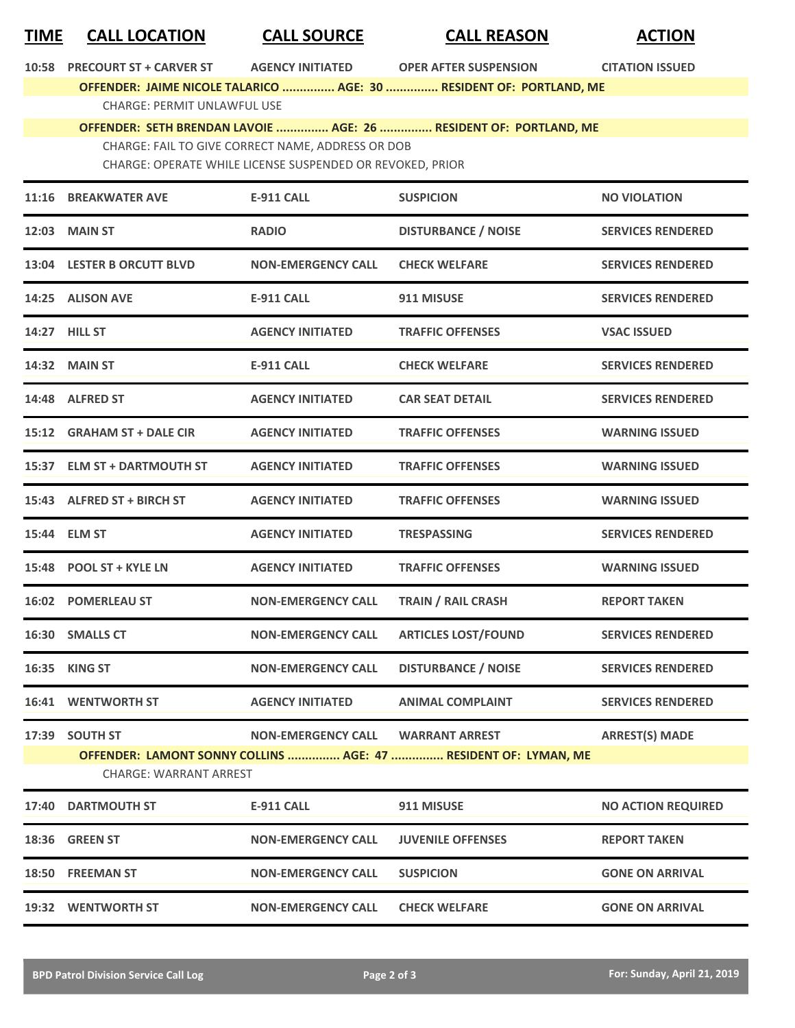### **TIME CALL LOCATION CALL SOURCE CALL REASON ACTION**

| <b>PRECOURT ST + CARVER ST</b><br>10:58 |  |
|-----------------------------------------|--|
|-----------------------------------------|--|

**10:5888 AGENCY INITIATED 40:58 PDER AFTER SUSPENSION CITATION ISSUED** 

**OFFENDER: JAIME NICOLE TALARICO ............... AGE: 30 ............... RESIDENT OF: PORTLAND, ME** CHARGE: PERMIT UNLAWFUL USE

#### **OFFENDER: SETH BRENDAN LAVOIE ............... AGE: 26 ............... RESIDENT OF: PORTLAND, ME** CHARGE: FAIL TO GIVE CORRECT NAME, ADDRESS OR DOB

CHARGE: OPERATE WHILE LICENSE SUSPENDED OR REVOKED, PRIOR

|       | 11:16 BREAKWATER AVE                             | <b>E-911 CALL</b>         | <b>SUSPICION</b>                                                                         | <b>NO VIOLATION</b>       |
|-------|--------------------------------------------------|---------------------------|------------------------------------------------------------------------------------------|---------------------------|
|       | 12:03 MAIN ST                                    | <b>RADIO</b>              | <b>DISTURBANCE / NOISE</b>                                                               | <b>SERVICES RENDERED</b>  |
|       | 13:04 LESTER B ORCUTT BLVD                       | <b>NON-EMERGENCY CALL</b> | <b>CHECK WELFARE</b>                                                                     | <b>SERVICES RENDERED</b>  |
|       | 14:25 ALISON AVE                                 | <b>E-911 CALL</b>         | 911 MISUSE                                                                               | <b>SERVICES RENDERED</b>  |
|       | 14:27 HILL ST                                    | <b>AGENCY INITIATED</b>   | <b>TRAFFIC OFFENSES</b>                                                                  | <b>VSAC ISSUED</b>        |
|       | 14:32 MAIN ST                                    | <b>E-911 CALL</b>         | <b>CHECK WELFARE</b>                                                                     | <b>SERVICES RENDERED</b>  |
|       | 14:48 ALFRED ST                                  | <b>AGENCY INITIATED</b>   | <b>CAR SEAT DETAIL</b>                                                                   | <b>SERVICES RENDERED</b>  |
|       | 15:12 GRAHAM ST + DALE CIR                       | <b>AGENCY INITIATED</b>   | <b>TRAFFIC OFFENSES</b>                                                                  | <b>WARNING ISSUED</b>     |
|       | 15:37 ELM ST + DARTMOUTH ST                      | <b>AGENCY INITIATED</b>   | <b>TRAFFIC OFFENSES</b>                                                                  | <b>WARNING ISSUED</b>     |
|       | 15:43 ALFRED ST + BIRCH ST                       | <b>AGENCY INITIATED</b>   | <b>TRAFFIC OFFENSES</b>                                                                  | <b>WARNING ISSUED</b>     |
|       | 15:44 ELM ST                                     | <b>AGENCY INITIATED</b>   | <b>TRESPASSING</b>                                                                       | <b>SERVICES RENDERED</b>  |
|       | 15:48 POOL ST + KYLE LN                          | <b>AGENCY INITIATED</b>   | <b>TRAFFIC OFFENSES</b>                                                                  | <b>WARNING ISSUED</b>     |
|       | 16:02 POMERLEAU ST                               | <b>NON-EMERGENCY CALL</b> | <b>TRAIN / RAIL CRASH</b>                                                                | <b>REPORT TAKEN</b>       |
|       | 16:30 SMALLS CT                                  | <b>NON-EMERGENCY CALL</b> | <b>ARTICLES LOST/FOUND</b>                                                               | <b>SERVICES RENDERED</b>  |
| 16:35 | <b>KING ST</b>                                   | <b>NON-EMERGENCY CALL</b> | <b>DISTURBANCE / NOISE</b>                                                               | <b>SERVICES RENDERED</b>  |
|       | <b>16:41 WENTWORTH ST</b>                        | <b>AGENCY INITIATED</b>   | <b>ANIMAL COMPLAINT</b>                                                                  | <b>SERVICES RENDERED</b>  |
| 17:39 | <b>SOUTH ST</b><br><b>CHARGE: WARRANT ARREST</b> | <b>NON-EMERGENCY CALL</b> | <b>WARRANT ARREST</b><br>OFFENDER: LAMONT SONNY COLLINS  AGE: 47  RESIDENT OF: LYMAN, ME | <b>ARREST(S) MADE</b>     |
| 17:40 | <b>DARTMOUTH ST</b>                              | <b>E-911 CALL</b>         | 911 MISUSE                                                                               | <b>NO ACTION REQUIRED</b> |
|       | 18:36 GREEN ST                                   | <b>NON-EMERGENCY CALL</b> | <b>JUVENILE OFFENSES</b>                                                                 | <b>REPORT TAKEN</b>       |
|       | 18:50 FREEMAN ST                                 | <b>NON-EMERGENCY CALL</b> | <b>SUSPICION</b>                                                                         | <b>GONE ON ARRIVAL</b>    |
|       | 19:32 WENTWORTH ST                               | <b>NON-EMERGENCY CALL</b> | <b>CHECK WELFARE</b>                                                                     | <b>GONE ON ARRIVAL</b>    |